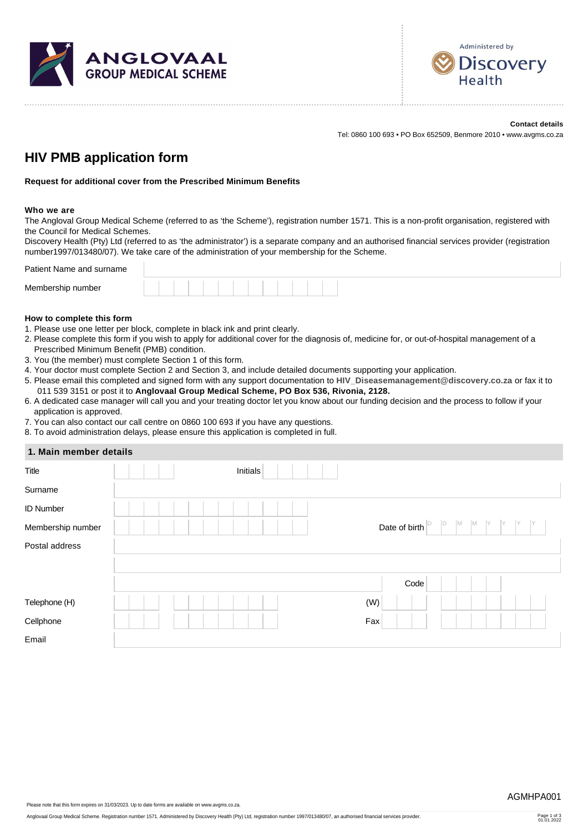



**Contact details** Tel: 0860 100 693 • PO Box 652509, Benmore 2010 • www.avgms.co.za

# **HIV PMB application form**

**Request for additional cover from the Prescribed Minimum Benefits**

#### **Who we are**

The Angloval Group Medical Scheme (referred to as 'the Scheme'), registration number 1571. This is a non-profit organisation, registered with the Council for Medical Schemes.

Discovery Health (Pty) Ltd (referred to as 'the administrator') is a separate company and an authorised financial services provider (registration number1997/013480/07). We take care of the administration of your membership for the Scheme.

Patient Name and surname

| Membership number |  |  |  |  |  |  |  |
|-------------------|--|--|--|--|--|--|--|
|                   |  |  |  |  |  |  |  |

#### **How to complete this form**

- 1. Please use one letter per block, complete in black ink and print clearly.
- 2. Please complete this form if you wish to apply for additional cover for the diagnosis of, medicine for, or out-of-hospital management of a Prescribed Minimum Benefit (PMB) condition.
- 3. You (the member) must complete Section 1 of this form.
- 4. Your doctor must complete Section 2 and Section 3, and include detailed documents supporting your application.
- 5. Please email this completed and signed form with any support documentation to **[HIV\\_Diseasemanagement@discovery.co.za](mailto:HIV_Diseasemanagement@discovery.co.za)** or fax it to 011 539 3151 or post it to **Anglovaal Group Medical Scheme, PO Box 536, Rivonia, 2128.**
- 6. A dedicated case manager will call you and your treating doctor let you know about our funding decision and the process to follow if your application is approved.
- 7. You can also contact our call centre on 0860 100 693 if you have any questions.

8. To avoid administration delays, please ensure this application is completed in full.

| 1. Main member details |  |
|------------------------|--|
|------------------------|--|

| Title             | Initials |                                           |
|-------------------|----------|-------------------------------------------|
| Surname           |          |                                           |
| <b>ID Number</b>  |          |                                           |
| Membership number |          | M<br>M<br>IY<br>ID<br>IY<br>Date of birth |
| Postal address    |          |                                           |
|                   |          |                                           |
|                   |          | Code                                      |
| Telephone (H)     |          | (W)                                       |
| Cellphone         |          | Fax                                       |
| Email             |          |                                           |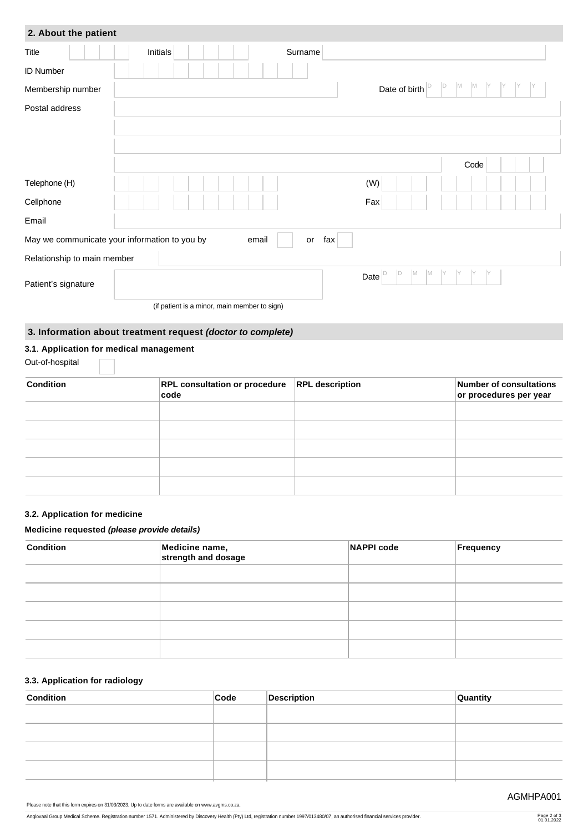| 2. About the patient                          |          |                                              |           |                          |                      |  |
|-----------------------------------------------|----------|----------------------------------------------|-----------|--------------------------|----------------------|--|
| Title                                         | Initials |                                              | Surname   |                          |                      |  |
| <b>ID Number</b>                              |          |                                              |           |                          |                      |  |
| Membership number                             |          |                                              |           | Date of birth            | M<br>M<br>ID         |  |
| Postal address                                |          |                                              |           |                          |                      |  |
|                                               |          |                                              |           |                          |                      |  |
|                                               |          |                                              |           |                          |                      |  |
|                                               |          |                                              |           |                          | Code                 |  |
| Telephone (H)                                 |          |                                              |           | (W)                      |                      |  |
| Cellphone                                     |          |                                              |           | Fax                      |                      |  |
| Email                                         |          |                                              |           |                          |                      |  |
| May we communicate your information to you by |          | email                                        | fax<br>or |                          |                      |  |
| Relationship to main member                   |          |                                              |           |                          |                      |  |
| Patient's signature                           |          |                                              |           | D<br>M<br>M<br>D<br>Date | IY<br>IY<br>IY<br>IY |  |
|                                               |          | (if patient is a minor, main member to sign) |           |                          |                      |  |

# **3. Information about treatment request** *(doctor to complete)*

## **3.1**. **Application for medical management**

Out-of-hospital

| <b>Condition</b> | <b>RPL consultation or procedure</b><br>code | <b>RPL description</b> | Number of consultations<br>or procedures per year |
|------------------|----------------------------------------------|------------------------|---------------------------------------------------|
|                  |                                              |                        |                                                   |
|                  |                                              |                        |                                                   |
|                  |                                              |                        |                                                   |
|                  |                                              |                        |                                                   |
|                  |                                              |                        |                                                   |

### **3.2. Application for medicine**

#### **Medicine requested** *(please provide details)*

| <b>Condition</b> | Medicine name,<br>strength and dosage | <b>NAPPI code</b> | Frequency |
|------------------|---------------------------------------|-------------------|-----------|
|                  |                                       |                   |           |
|                  |                                       |                   |           |
|                  |                                       |                   |           |
|                  |                                       |                   |           |
|                  |                                       |                   |           |

### **3.3. Application for radiology**

| <b>Condition</b> | Code | Description | Quantity |
|------------------|------|-------------|----------|
|                  |      |             |          |
|                  |      |             |          |
|                  |      |             |          |
|                  |      |             |          |